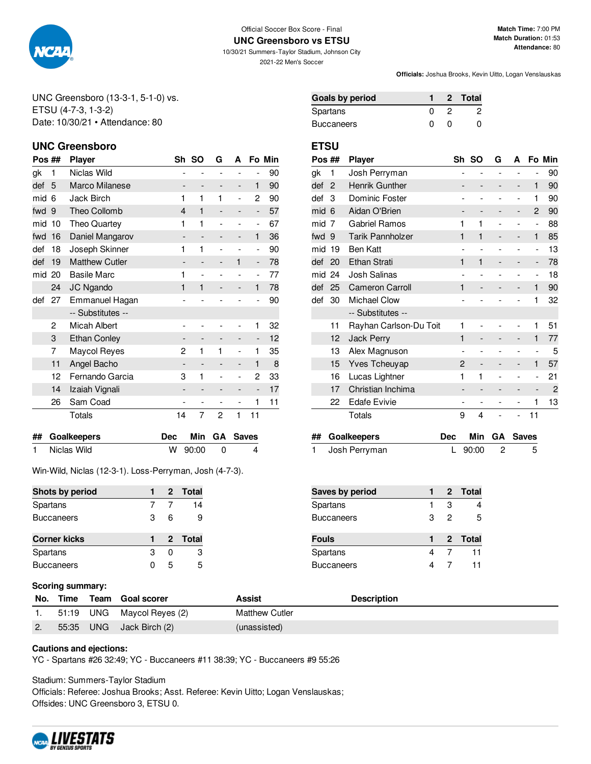

#### Official Soccer Box Score - Final **UNC Greensboro vs ETSU**

10/30/21 Summers-Taylor Stadium, Johnson City 2021-22 Men's Soccer

**Officials:** Joshua Brooks, Kevin Uitto, Logan Venslauskas

UNC Greensboro (13-3-1, 5-1-0) vs. ETSU (4-7-3, 1-3-2) Date: 10/30/21 • Attendance: 80

## **UNC Greensboro ETSU**

| Pos ## |    | <b>Player</b>         | Sh | so                       | G                        | А                        |                              | Fo Min |
|--------|----|-----------------------|----|--------------------------|--------------------------|--------------------------|------------------------------|--------|
| gk     | 1  | Niclas Wild           |    |                          |                          |                          |                              | 90     |
| def    | 5  | Marco Milanese        |    | -                        |                          | -                        | 1                            | 90     |
| mid    | 6  | Jack Birch            | 1  | 1                        | 1                        | $\overline{a}$           | 2                            | 90     |
| fwd    | 9  | Theo Collomb          | 4  | 1                        |                          | -                        | $\qquad \qquad \blacksquare$ | 57     |
| mid    | 10 | Theo Quartey          | 1  | 1                        |                          |                          | ۰                            | 67     |
| fwd    | 16 | Daniel Mangarov       |    | $\overline{\phantom{0}}$ |                          | -                        | 1                            | 36     |
| def    | 18 | Joseph Skinner        | 1  | 1                        |                          |                          | $\overline{\phantom{0}}$     | 90     |
| def    | 19 | <b>Matthew Cutler</b> |    | $\qquad \qquad -$        |                          | 1                        | -                            | 78     |
| mid    | 20 | <b>Basile Marc</b>    | 1  | $\overline{a}$           |                          |                          | -                            | 77     |
|        | 24 | JC Ngando             | 1  | $\mathbf{1}$             |                          |                          | $\mathbf{1}$                 | 78     |
| def    | 27 | Emmanuel Hagan        |    |                          |                          |                          |                              | 90     |
|        |    | -- Substitutes --     |    |                          |                          |                          |                              |        |
|        | 2  | Micah Albert          |    |                          |                          |                          | 1                            | 32     |
|        | 3  | <b>Ethan Conley</b>   |    |                          |                          |                          | -                            | 12     |
|        | 7  | Maycol Reyes          | 2  | 1                        | 1                        | $\overline{a}$           | 1                            | 35     |
|        | 11 | Angel Bacho           |    |                          |                          |                          | 1                            | 8      |
|        | 12 | Fernando Garcia       | 3  | 1                        |                          | ۰                        | 2                            | 33     |
|        | 14 | Izaiah Vignali        |    |                          |                          | -                        | -                            | 17     |
|        | 26 | Sam Coad              |    | $\overline{\phantom{0}}$ | $\overline{\phantom{0}}$ | $\overline{\phantom{0}}$ | 1                            | 11     |
|        |    | Totals                | 14 | 7                        | 2                        | 1                        | 11                           |        |

| ## Goalkeepers |           | Dec Min GA Saves |
|----------------|-----------|------------------|
| 1 Niclas Wild  | W 90:00 0 | 4                |

Win-Wild, Niclas (12-3-1). Loss-Perryman, Josh (4-7-3).

| Shots by period     |   |   | 2 Total |
|---------------------|---|---|---------|
| Spartans            |   |   | 14      |
| <b>Buccaneers</b>   | З | 6 | 9       |
|                     |   |   |         |
| <b>Corner kicks</b> |   |   | 2 Total |
| Spartans            | з | n | 3       |

## **Scoring summary:**

|    |           | No. Time Team Goal scorer  | Assist                | <b>Description</b> |
|----|-----------|----------------------------|-----------------------|--------------------|
|    |           | 51:19 UNG Maycol Reyes (2) | <b>Matthew Cutler</b> |                    |
| 2. | 55:35 UNG | Jack Birch (2)             | (unassisted)          |                    |

### **Cautions and ejections:**

YC - Spartans #26 32:49; YC - Buccaneers #11 38:39; YC - Buccaneers #9 55:26

Stadium: Summers-Taylor Stadium

Officials: Referee: Joshua Brooks; Asst. Referee: Kevin Uitto; Logan Venslauskas; Offsides: UNC Greensboro 3, ETSU 0.



| Goals by period |   |             | 2 Total |
|-----------------|---|-------------|---------|
| Spartans        |   |             |         |
| Buccaneers      | Ω | $^{\prime}$ |         |

| Pos ## |                | Player                  |   | Sh SO          | G | А                        |                          | Fo Min         |
|--------|----------------|-------------------------|---|----------------|---|--------------------------|--------------------------|----------------|
| gk     | 1              | Josh Perryman           |   | -              |   | $\overline{a}$           | -                        | 90             |
| def    | $\overline{2}$ | Henrik Gunther          |   |                |   | -                        | 1                        | 90             |
| def    | 3              | Dominic Foster          |   |                |   | $\overline{\phantom{0}}$ | 1                        | 90             |
| mid    | 6              | Aidan O'Brien           |   | -              |   | -                        | 2                        | 90             |
| mid    | 7              | <b>Gabriel Ramos</b>    | 1 | 1              |   |                          | $\overline{a}$           | 88             |
| fwd    | 9              | <b>Tarik Pannholzer</b> | 1 | 1              |   | -                        | 1                        | 85             |
| mid    | 19             | Ben Katt                |   |                |   |                          | -                        | 13             |
| def    | 20             | <b>Ethan Strati</b>     | 1 | 1              |   | -                        | -                        | 78             |
| mid    | 24             | Josh Salinas            |   |                |   |                          | $\overline{\phantom{0}}$ | 18             |
| def    | 25             | <b>Cameron Carroll</b>  | 1 |                |   |                          | 1                        | 90             |
| def    | 30             | <b>Michael Clow</b>     |   |                |   |                          | 1                        | 32             |
|        |                | -- Substitutes --       |   |                |   |                          |                          |                |
|        | 11             | Rayhan Carlson-Du Toit  | 1 |                |   |                          | 1                        | 51             |
|        | 12             | <b>Jack Perry</b>       | 1 |                |   |                          | 1                        | 77             |
|        | 13             | Alex Magnuson           |   | $\overline{a}$ |   | $\overline{a}$           | $\overline{a}$           | 5              |
|        | 15             | <b>Yves Tcheuyap</b>    | 2 |                |   |                          | 1                        | 57             |
|        | 16             | Lucas Lightner          | 1 | 1              |   |                          | $\overline{a}$           | 21             |
|        | 17             | Christian Inchima       |   |                |   | -                        |                          | $\overline{c}$ |
|        | 22             | <b>Edafe Evivie</b>     |   |                |   |                          | 1                        | 13             |
|        |                | Totals                  | 9 | 4              |   | $\overline{\phantom{0}}$ | 11                       |                |

| ## Goalkeepers  |             | Dec Min GA Saves |
|-----------------|-------------|------------------|
| 1 Josh Perryman | L $90:00$ 2 | $-5$             |

| <b>Saves by period</b> |   |   | 2 Total |
|------------------------|---|---|---------|
| Spartans               |   | з |         |
| <b>Buccaneers</b>      | З | 2 | 5       |
|                        |   |   |         |
| <b>Fouls</b>           |   |   | 2 Total |
| Spartans               | 4 |   | 11      |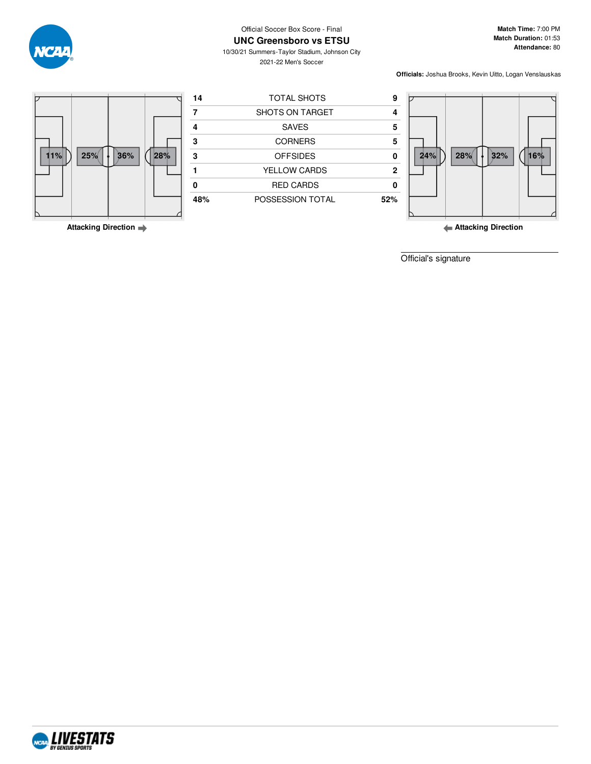

**Match Time:** 7:00 PM **Match Duration:** 01:53 **Attendance:** 80

10/30/21 Summers-Taylor Stadium, Johnson City 2021-22 Men's Soccer

**Officials:** Joshua Brooks, Kevin Uitto, Logan Venslauskas





**Attacking Direction**

**Attacking Direction**

Official's signature





**UNC Greensboro vs ETSU**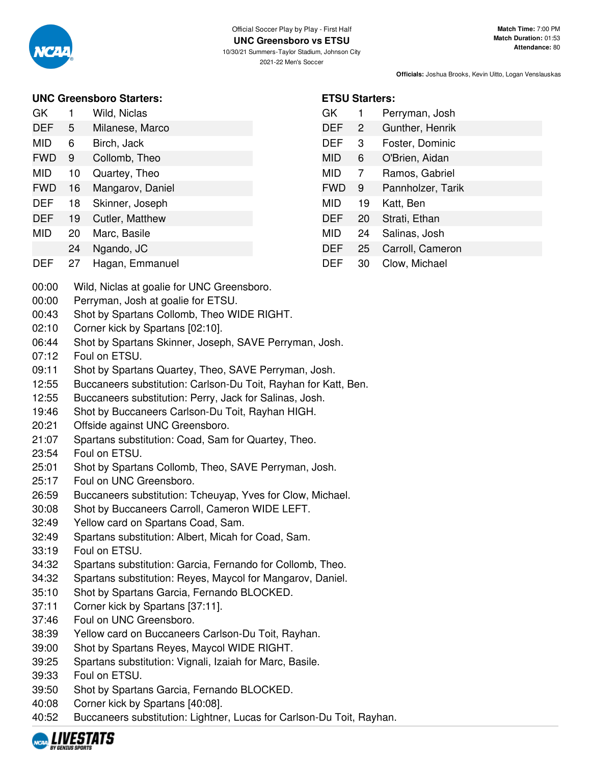

| <b>UNC Greensboro Starters:</b> |  |
|---------------------------------|--|
|---------------------------------|--|

| GK  |   | Wild, Niclas    |
|-----|---|-----------------|
| DEF | 5 | Milanese, Marco |

- MID 6 Birch, Jack
- FWD 9 Collomb, Theo
- MID 10 Quartey, Theo
- FWD 16 Mangarov, Daniel
- DEF 18 Skinner, Joseph
- DEF 19 Cutler, Matthew
- MID 20 Marc, Basile
- 24 Ngando, JC
- DEF 27 Hagan, Emmanuel
- 00:00 Wild, Niclas at goalie for UNC Greensboro.
- 00:00 Perryman, Josh at goalie for ETSU.
- 00:43 Shot by Spartans Collomb, Theo WIDE RIGHT.
- 02:10 Corner kick by Spartans [02:10].
- 06:44 Shot by Spartans Skinner, Joseph, SAVE Perryman, Josh.
- 07:12 Foul on ETSU.
- 09:11 Shot by Spartans Quartey, Theo, SAVE Perryman, Josh.
- 12:55 Buccaneers substitution: Carlson-Du Toit, Rayhan for Katt, Ben.
- 12:55 Buccaneers substitution: Perry, Jack for Salinas, Josh.
- 19:46 Shot by Buccaneers Carlson-Du Toit, Rayhan HIGH.
- 20:21 Offside against UNC Greensboro.
- 21:07 Spartans substitution: Coad, Sam for Quartey, Theo.
- 23:54 Foul on ETSU.
- 25:01 Shot by Spartans Collomb, Theo, SAVE Perryman, Josh.
- 25:17 Foul on UNC Greensboro.
- 26:59 Buccaneers substitution: Tcheuyap, Yves for Clow, Michael.
- 30:08 Shot by Buccaneers Carroll, Cameron WIDE LEFT.
- 32:49 Yellow card on Spartans Coad, Sam.
- 32:49 Spartans substitution: Albert, Micah for Coad, Sam.
- 33:19 Foul on ETSU.
- 34:32 Spartans substitution: Garcia, Fernando for Collomb, Theo.
- 34:32 Spartans substitution: Reyes, Maycol for Mangarov, Daniel.
- 35:10 Shot by Spartans Garcia, Fernando BLOCKED.
- 37:11 Corner kick by Spartans [37:11].
- 37:46 Foul on UNC Greensboro.
- 38:39 Yellow card on Buccaneers Carlson-Du Toit, Rayhan.
- 39:00 Shot by Spartans Reyes, Maycol WIDE RIGHT.
- 39:25 Spartans substitution: Vignali, Izaiah for Marc, Basile.
- 39:33 Foul on ETSU.
- 39:50 Shot by Spartans Garcia, Fernando BLOCKED.
- 40:08 Corner kick by Spartans [40:08].
- 40:52 Buccaneers substitution: Lightner, Lucas for Carlson-Du Toit, Rayhan.



# **ETSU Starters:**

| GK         | 1  | Perryman, Josh    |
|------------|----|-------------------|
| <b>DEF</b> | 2  | Gunther, Henrik   |
| <b>DEF</b> | 3  | Foster, Dominic   |
| MID        | 6  | O'Brien, Aidan    |
| MID        | 7  | Ramos, Gabriel    |
| <b>FWD</b> | 9  | Pannholzer, Tarik |
| MID        | 19 | Katt, Ben         |
| <b>DEF</b> | 20 | Strati, Ethan     |
| MID        | 24 | Salinas, Josh     |
| <b>DEF</b> | 25 | Carroll, Cameron  |
| DEF        | 30 | Clow, Michael     |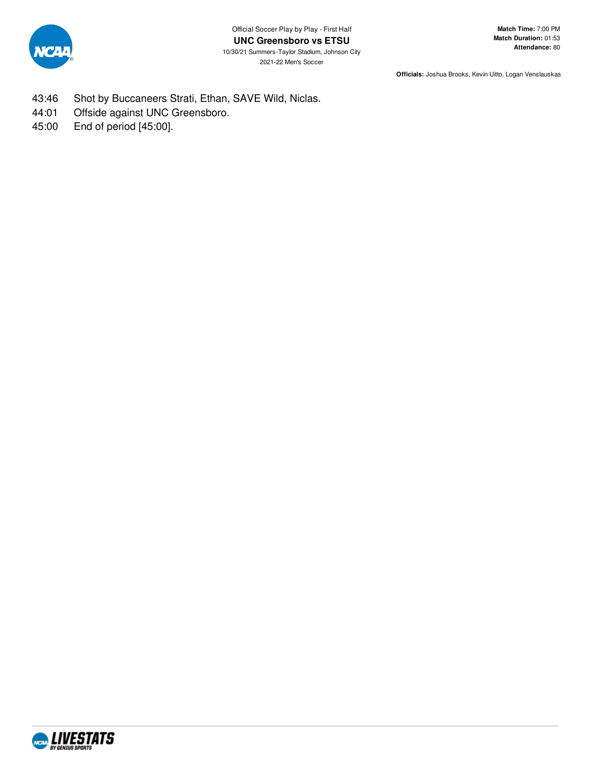

- 43:46 Shot by Buccaneers Strati, Ethan, SAVE Wild, Niclas.
- 44:01 Offside against UNC Greensboro.
- 45:00 End of period [45:00].

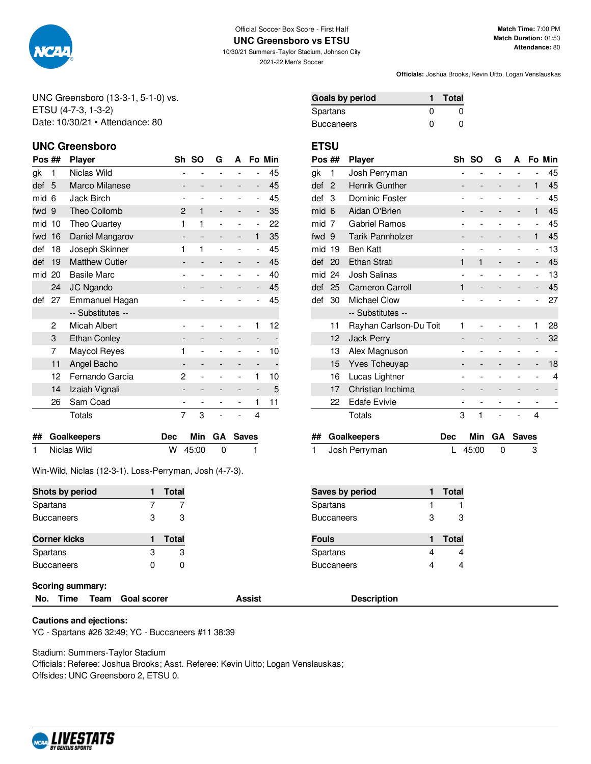

#### Official Soccer Box Score - First Half **UNC Greensboro vs ETSU**

10/30/21 Summers-Taylor Stadium, Johnson City 2021-22 Men's Soccer

**Match Time:** 7:00 PM **Match Duration:** 01:53 **Attendance:** 80

**Officials:** Joshua Brooks, Kevin Uitto, Logan Venslauskas

UNC Greensboro (13-3-1, 5-1-0) vs. ETSU (4-7-3, 1-3-2) Date: 10/30/21 • Attendance: 80

## **UNC Greensboro ETSU**

| Pos ## |    | <b>Player</b>         |                          | Sh SO                    | G | A |                          | Fo Min |
|--------|----|-----------------------|--------------------------|--------------------------|---|---|--------------------------|--------|
| gk     | 1  | Niclas Wild           |                          |                          |   |   |                          | 45     |
| def    | 5  | Marco Milanese        |                          |                          |   |   | -                        | 45     |
| mid    | 6  | Jack Birch            |                          |                          |   |   | $\overline{\phantom{0}}$ | 45     |
| fwd    | 9  | Theo Collomb          | 2                        | 1                        |   |   | -                        | 35     |
| mid    | 10 | Theo Quartey          | 1                        | 1                        |   |   | ۰                        | 22     |
| fwd    | 16 | Daniel Mangarov       |                          | $\overline{\phantom{a}}$ |   | - | 1                        | 35     |
| def    | 18 | Joseph Skinner        | 1                        | 1                        |   |   | $\overline{a}$           | 45     |
| def    | 19 | <b>Matthew Cutler</b> |                          |                          |   |   | -                        | 45     |
| mid    | 20 | <b>Basile Marc</b>    |                          |                          |   |   | -                        | 40     |
|        | 24 | JC Ngando             |                          | -                        |   |   | -                        | 45     |
| def    | 27 | Emmanuel Hagan        |                          |                          |   |   |                          | 45     |
|        |    | -- Substitutes --     |                          |                          |   |   |                          |        |
|        | 2  | Micah Albert          |                          |                          |   |   | 1                        | 12     |
|        | 3  | <b>Ethan Conley</b>   |                          | -                        |   | - | -                        |        |
|        | 7  | <b>Maycol Reyes</b>   | 1                        |                          |   |   | $\overline{a}$           | 10     |
|        | 11 | Angel Bacho           |                          | $\overline{\phantom{a}}$ |   | - | -                        |        |
|        | 12 | Fernando Garcia       | 2                        |                          |   |   | 1                        | 10     |
|        | 14 | Izaiah Vignali        |                          | -                        |   | - |                          | 5      |
|        | 26 | Sam Coad              | $\overline{\phantom{0}}$ | $\overline{\phantom{a}}$ |   |   | 1                        | 11     |
|        |    | Totals                | 7                        | 3                        |   |   | 4                        |        |

| ## Goalkeepers |             | Dec Min GA Saves |
|----------------|-------------|------------------|
| 1 Niclas Wild  | $W$ 45:00 0 |                  |

Win-Wild, Niclas (12-3-1). Loss-Perryman, Josh (4-7-3).

| Shots by period     |   | Total |
|---------------------|---|-------|
| Spartans            |   |       |
| <b>Buccaneers</b>   | З | з     |
|                     |   |       |
| <b>Corner kicks</b> |   | Total |
| Spartans            | З | З     |
| <b>Buccaneers</b>   |   | O     |

### **Scoring summary:**

**No. Time Team Goal scorer Assist Description**

## **Cautions and ejections:**

YC - Spartans #26 32:49; YC - Buccaneers #11 38:39

Stadium: Summers-Taylor Stadium

Officials: Referee: Joshua Brooks; Asst. Referee: Kevin Uitto; Logan Venslauskas; Offsides: UNC Greensboro 2, ETSU 0.

| <b>Goals by period</b> |   | Total        |
|------------------------|---|--------------|
| Spartans               | O | 0            |
| Buccaneers             | O | $\mathbf{I}$ |

| Pos ## |                | <b>Player</b>           |   | Sh SO          | G              | А              |                          | Fo Min |
|--------|----------------|-------------------------|---|----------------|----------------|----------------|--------------------------|--------|
| gk     | 1              | Josh Perryman           |   | $\overline{a}$ | $\overline{a}$ | $\overline{a}$ | $\overline{a}$           | 45     |
| def    | $\overline{2}$ | Henrik Gunther          |   | -              |                | -              | 1                        | 45     |
| def    | 3              | Dominic Foster          |   | $\overline{a}$ |                | $\overline{a}$ | $\overline{\phantom{m}}$ | 45     |
| mid    | 6              | Aidan O'Brien           |   |                |                | -              | 1                        | 45     |
| mid    | 7              | <b>Gabriel Ramos</b>    |   |                |                |                | $\overline{a}$           | 45     |
| fwd 9  |                | <b>Tarik Pannholzer</b> |   |                |                | -              | 1                        | 45     |
| mid    | 19             | Ben Katt                |   |                |                |                | $\overline{a}$           | 13     |
| def    | 20             | Ethan Strati            | 1 | 1              |                | -              | -                        | 45     |
| mid    | 24             | Josh Salinas            |   |                |                |                | -                        | 13     |
| def    | 25             | <b>Cameron Carroll</b>  | 1 |                |                |                |                          | 45     |
| def    | 30             | <b>Michael Clow</b>     |   |                |                |                |                          | 27     |
|        |                | -- Substitutes --       |   |                |                |                |                          |        |
|        | 11             | Rayhan Carlson-Du Toit  | 1 |                |                |                | 1                        | 28     |
|        | 12             | <b>Jack Perry</b>       |   |                |                |                |                          | 32     |
|        | 13             | Alex Magnuson           |   |                |                |                | $\overline{a}$           |        |
|        | 15             | <b>Yves Tcheuyap</b>    |   |                |                |                |                          | 18     |
|        | 16             | Lucas Lightner          |   |                |                |                |                          | 4      |
|        | 17             | Christian Inchima       |   |                |                |                |                          |        |
|        | 22             | <b>Edafe Evivie</b>     |   |                |                |                |                          |        |
|        |                | Totals                  | 3 | 1              |                |                | 4                        |        |

| ## Goalkeepers  |             | Dec Min GA Saves |
|-----------------|-------------|------------------|
| 1 Josh Perryman | L $45:00$ 0 | - 3              |

| <b>Saves by period</b> |   | <b>Total</b> |
|------------------------|---|--------------|
| Spartans               |   |              |
| Buccaneers             | 3 | з            |
|                        |   |              |
| Fouls                  |   | <b>Total</b> |
| Spartans               |   |              |
| Buccaneers             |   |              |

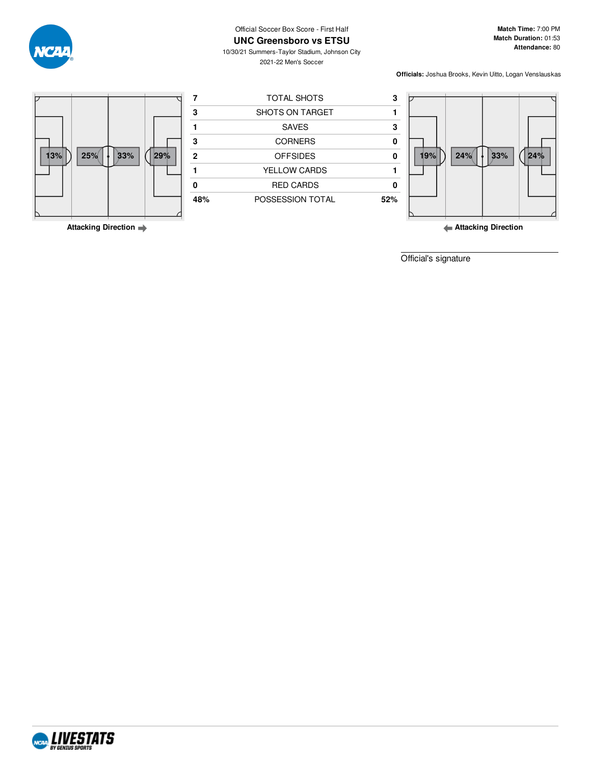

**UNC Greensboro vs ETSU**

10/30/21 Summers-Taylor Stadium, Johnson City 2021-22 Men's Soccer

**Match Time:** 7:00 PM **Match Duration:** 01:53 **Attendance:** 80

**Officials:** Joshua Brooks, Kevin Uitto, Logan Venslauskas





**Attacking Direction**

Official's signature



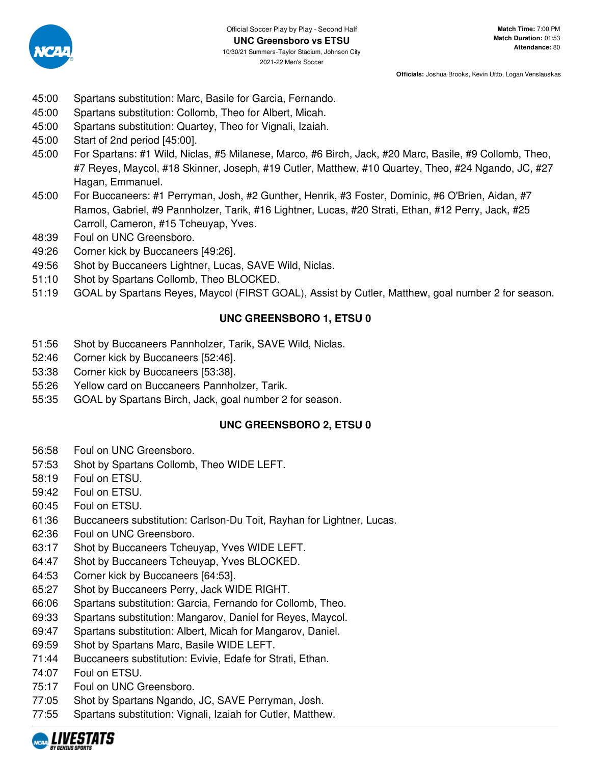

- 45:00 Spartans substitution: Marc, Basile for Garcia, Fernando.
- 45:00 Spartans substitution: Collomb, Theo for Albert, Micah.
- 45:00 Spartans substitution: Quartey, Theo for Vignali, Izaiah.
- 45:00 Start of 2nd period [45:00].
- 45:00 For Spartans: #1 Wild, Niclas, #5 Milanese, Marco, #6 Birch, Jack, #20 Marc, Basile, #9 Collomb, Theo, #7 Reyes, Maycol, #18 Skinner, Joseph, #19 Cutler, Matthew, #10 Quartey, Theo, #24 Ngando, JC, #27 Hagan, Emmanuel.
- 45:00 For Buccaneers: #1 Perryman, Josh, #2 Gunther, Henrik, #3 Foster, Dominic, #6 O'Brien, Aidan, #7 Ramos, Gabriel, #9 Pannholzer, Tarik, #16 Lightner, Lucas, #20 Strati, Ethan, #12 Perry, Jack, #25 Carroll, Cameron, #15 Tcheuyap, Yves.
- 48:39 Foul on UNC Greensboro.
- 49:26 Corner kick by Buccaneers [49:26].
- 49:56 Shot by Buccaneers Lightner, Lucas, SAVE Wild, Niclas.
- 51:10 Shot by Spartans Collomb, Theo BLOCKED.
- 51:19 GOAL by Spartans Reyes, Maycol (FIRST GOAL), Assist by Cutler, Matthew, goal number 2 for season.

## **UNC GREENSBORO 1, ETSU 0**

- 51:56 Shot by Buccaneers Pannholzer, Tarik, SAVE Wild, Niclas.
- 52:46 Corner kick by Buccaneers [52:46].
- 53:38 Corner kick by Buccaneers [53:38].
- 55:26 Yellow card on Buccaneers Pannholzer, Tarik.
- 55:35 GOAL by Spartans Birch, Jack, goal number 2 for season.

## **UNC GREENSBORO 2, ETSU 0**

- 56:58 Foul on UNC Greensboro.
- 57:53 Shot by Spartans Collomb, Theo WIDE LEFT.
- 58:19 Foul on ETSU.
- 59:42 Foul on ETSU.
- 60:45 Foul on ETSU.
- 61:36 Buccaneers substitution: Carlson-Du Toit, Rayhan for Lightner, Lucas.
- 62:36 Foul on UNC Greensboro.
- 63:17 Shot by Buccaneers Tcheuyap, Yves WIDE LEFT.
- 64:47 Shot by Buccaneers Tcheuyap, Yves BLOCKED.
- 64:53 Corner kick by Buccaneers [64:53].
- 65:27 Shot by Buccaneers Perry, Jack WIDE RIGHT.
- 66:06 Spartans substitution: Garcia, Fernando for Collomb, Theo.
- 69:33 Spartans substitution: Mangarov, Daniel for Reyes, Maycol.
- 69:47 Spartans substitution: Albert, Micah for Mangarov, Daniel.
- 69:59 Shot by Spartans Marc, Basile WIDE LEFT.
- 71:44 Buccaneers substitution: Evivie, Edafe for Strati, Ethan.
- 74:07 Foul on ETSU.
- 75:17 Foul on UNC Greensboro.
- 77:05 Shot by Spartans Ngando, JC, SAVE Perryman, Josh.
- 77:55 Spartans substitution: Vignali, Izaiah for Cutler, Matthew.

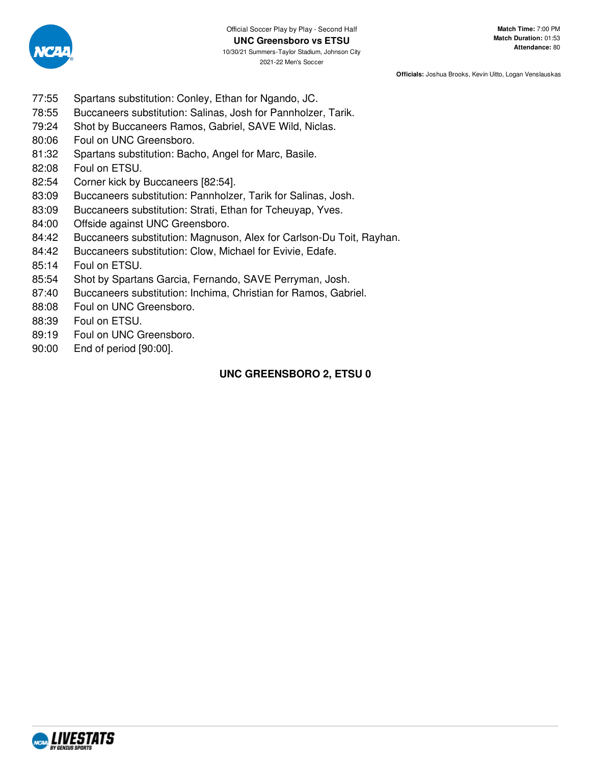

- 77:55 Spartans substitution: Conley, Ethan for Ngando, JC.
- 78:55 Buccaneers substitution: Salinas, Josh for Pannholzer, Tarik.
- 79:24 Shot by Buccaneers Ramos, Gabriel, SAVE Wild, Niclas.
- 80:06 Foul on UNC Greensboro.
- 81:32 Spartans substitution: Bacho, Angel for Marc, Basile.
- 82:08 Foul on ETSU.
- 82:54 Corner kick by Buccaneers [82:54].
- 83:09 Buccaneers substitution: Pannholzer, Tarik for Salinas, Josh.
- 83:09 Buccaneers substitution: Strati, Ethan for Tcheuyap, Yves.
- 84:00 Offside against UNC Greensboro.
- 84:42 Buccaneers substitution: Magnuson, Alex for Carlson-Du Toit, Rayhan.
- 84:42 Buccaneers substitution: Clow, Michael for Evivie, Edafe.
- 85:14 Foul on ETSU.
- 85:54 Shot by Spartans Garcia, Fernando, SAVE Perryman, Josh.
- 87:40 Buccaneers substitution: Inchima, Christian for Ramos, Gabriel.
- 88:08 Foul on UNC Greensboro.
- 88:39 Foul on ETSU.
- 89:19 Foul on UNC Greensboro.
- 90:00 End of period [90:00].

## **UNC GREENSBORO 2, ETSU 0**

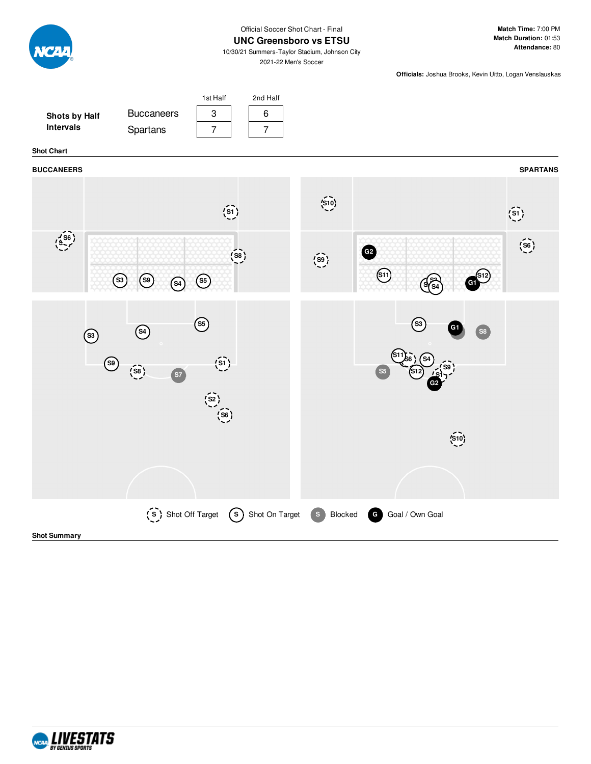

Official Soccer Shot Chart - Final

### **UNC Greensboro vs ETSU**

10/30/21 Summers-Taylor Stadium, Johnson City 2021-22 Men's Soccer

2nd Half

1st Half

**Match Time:** 7:00 PM **Match Duration:** 01:53 **Attendance:** 80

**Officials:** Joshua Brooks, Kevin Uitto, Logan Venslauskas